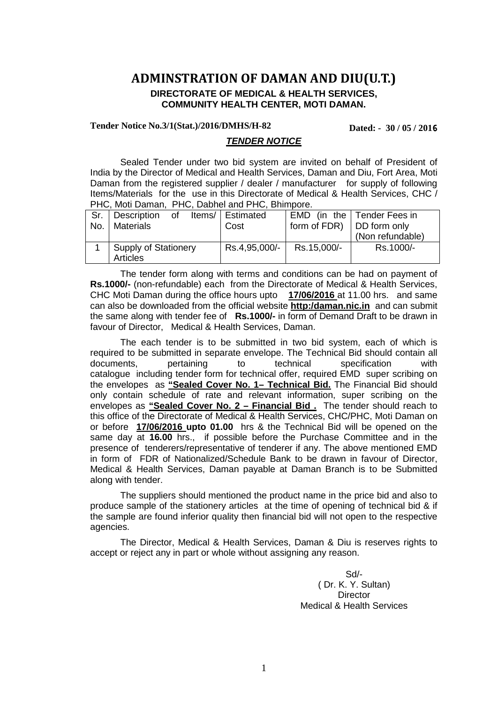# **ADMINSTRATION OF DAMAN AND DIU(U.T.) DIRECTORATE OF MEDICAL & HEALTH SERVICES, COMMUNITY HEALTH CENTER, MOTI DAMAN.**

#### **Tender Notice No.3/1(Stat.)/2016/DMHS/H-82 Dated: - 30 / 05 / 201**6

#### *TENDER NOTICE*

 Sealed Tender under two bid system are invited on behalf of President of India by the Director of Medical and Health Services, Daman and Diu, Fort Area, Moti Daman from the registered supplier / dealer / manufacturer for supply of following Items/Materials for the use in this Directorate of Medical & Health Services, CHC / PHC, Moti Daman, PHC, Dabhel and PHC, Bhimpore.

| Sr.<br>No. | <b>Description</b><br>of Items/ Estimated<br><b>Materials</b> | Cost          | form of $FDR$ ) $\vert$ DD form only | EMD (in the   Tender Fees in |
|------------|---------------------------------------------------------------|---------------|--------------------------------------|------------------------------|
|            |                                                               |               |                                      | (Non refundable)             |
|            | Supply of Stationery<br>Articles                              | Rs.4,95,000/- | Rs.15,000/-                          | Rs.1000/-                    |

The tender form along with terms and conditions can be had on payment of **Rs.1000/-** (non-refundable) each from the Directorate of Medical & Health Services, CHC Moti Daman during the office hours upto **17/06/2016** at 11.00 hrs. and same can also be downloaded from the official website **http:/daman.nic.in** and can submit the same along with tender fee of **Rs.1000/-** in form of Demand Draft to be drawn in favour of Director, Medical & Health Services, Daman.

 The each tender is to be submitted in two bid system, each of which is required to be submitted in separate envelope. The Technical Bid should contain all documents, pertaining to technical specification with catalogue including tender form for technical offer, required EMD super scribing on the envelopes as **"Sealed Cover No. 1– Technical Bid.** The Financial Bid should only contain schedule of rate and relevant information, super scribing on the envelopes as **"Sealed Cover No. 2 – Financial Bid .** The tender should reach to this office of the Directorate of Medical & Health Services, CHC/PHC, Moti Daman on or before **17/06/2016 upto 01.00** hrs & the Technical Bid will be opened on the same day at **16.00** hrs., if possible before the Purchase Committee and in the presence of tenderers/representative of tenderer if any. The above mentioned EMD in form of FDR of Nationalized/Schedule Bank to be drawn in favour of Director, Medical & Health Services, Daman payable at Daman Branch is to be Submitted along with tender.

The suppliers should mentioned the product name in the price bid and also to produce sample of the stationery articles at the time of opening of technical bid & if the sample are found inferior quality then financial bid will not open to the respective agencies.

 The Director, Medical & Health Services, Daman & Diu is reserves rights to accept or reject any in part or whole without assigning any reason.

> Sd/- ( Dr. K. Y. Sultan) **Director** Medical & Health Services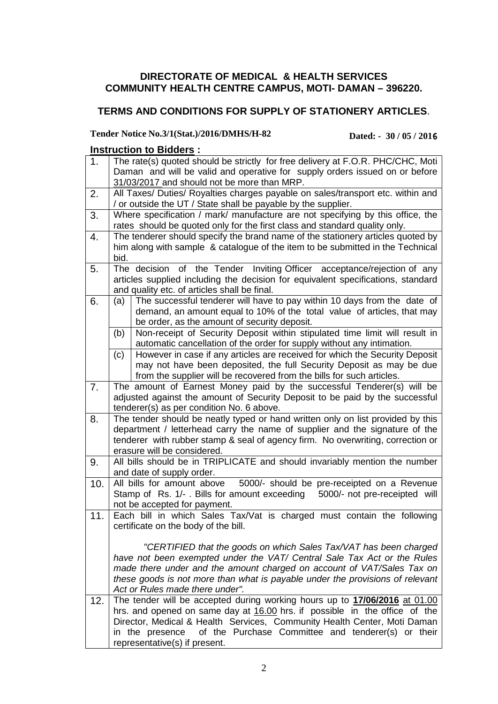## **DIRECTORATE OF MEDICAL & HEALTH SERVICES COMMUNITY HEALTH CENTRE CAMPUS, MOTI- DAMAN – 396220.**

# **TERMS AND CONDITIONS FOR SUPPLY OF STATIONERY ARTICLES**.

# **Tender Notice No.3/1(Stat.)/2016/DMHS/H-82 Dated: - 30 / 05 / 201**6

# **Instruction to Bidders :**

| 1.  | The rate(s) quoted should be strictly for free delivery at F.O.R. PHC/CHC, Moti                                                                              |  |  |  |  |
|-----|--------------------------------------------------------------------------------------------------------------------------------------------------------------|--|--|--|--|
|     | Daman and will be valid and operative for supply orders issued on or before                                                                                  |  |  |  |  |
|     | 31/03/2017 and should not be more than MRP.                                                                                                                  |  |  |  |  |
| 2.  | All Taxes/ Duties/ Royalties charges payable on sales/transport etc. within and                                                                              |  |  |  |  |
|     | / or outside the UT / State shall be payable by the supplier.                                                                                                |  |  |  |  |
| 3.  | Where specification / mark/ manufacture are not specifying by this office, the                                                                               |  |  |  |  |
|     | rates should be quoted only for the first class and standard quality only.                                                                                   |  |  |  |  |
| 4.  | The tenderer should specify the brand name of the stationery articles quoted by                                                                              |  |  |  |  |
|     | him along with sample & catalogue of the item to be submitted in the Technical                                                                               |  |  |  |  |
|     | bid.                                                                                                                                                         |  |  |  |  |
| 5.  | The decision of the Tender Inviting Officer acceptance/rejection of any                                                                                      |  |  |  |  |
|     | articles supplied including the decision for equivalent specifications, standard                                                                             |  |  |  |  |
|     | and quality etc. of articles shall be final.                                                                                                                 |  |  |  |  |
| 6.  | The successful tenderer will have to pay within 10 days from the date of<br>(a)                                                                              |  |  |  |  |
|     | demand, an amount equal to 10% of the total value of articles, that may                                                                                      |  |  |  |  |
|     | be order, as the amount of security deposit.                                                                                                                 |  |  |  |  |
|     | Non-receipt of Security Deposit within stipulated time limit will result in<br>(b)                                                                           |  |  |  |  |
|     | automatic cancellation of the order for supply without any intimation.<br>However in case if any articles are received for which the Security Deposit<br>(c) |  |  |  |  |
|     | may not have been deposited, the full Security Deposit as may be due                                                                                         |  |  |  |  |
|     | from the supplier will be recovered from the bills for such articles.                                                                                        |  |  |  |  |
| 7.  | The amount of Earnest Money paid by the successful Tenderer(s) will be                                                                                       |  |  |  |  |
|     | adjusted against the amount of Security Deposit to be paid by the successful                                                                                 |  |  |  |  |
|     | tenderer(s) as per condition No. 6 above.                                                                                                                    |  |  |  |  |
| 8.  | The tender should be neatly typed or hand written only on list provided by this                                                                              |  |  |  |  |
|     | department / letterhead carry the name of supplier and the signature of the                                                                                  |  |  |  |  |
|     | tenderer with rubber stamp & seal of agency firm. No overwriting, correction or                                                                              |  |  |  |  |
|     | erasure will be considered.                                                                                                                                  |  |  |  |  |
| 9.  | All bills should be in TRIPLICATE and should invariably mention the number                                                                                   |  |  |  |  |
|     | and date of supply order.                                                                                                                                    |  |  |  |  |
| 10. | 5000/- should be pre-receipted on a Revenue<br>All bills for amount above                                                                                    |  |  |  |  |
|     | Stamp of Rs. 1/-. Bills for amount exceeding<br>5000/- not pre-receipted will                                                                                |  |  |  |  |
|     | not be accepted for payment.                                                                                                                                 |  |  |  |  |
| 11. | Each bill in which Sales Tax/Vat is charged must contain the following                                                                                       |  |  |  |  |
|     | certificate on the body of the bill.                                                                                                                         |  |  |  |  |
|     | "CERTIFIED that the goods on which Sales Tax/VAT has been charged                                                                                            |  |  |  |  |
|     | have not been exempted under the VAT/ Central Sale Tax Act or the Rules                                                                                      |  |  |  |  |
|     | made there under and the amount charged on account of VAT/Sales Tax on                                                                                       |  |  |  |  |
|     | these goods is not more than what is payable under the provisions of relevant                                                                                |  |  |  |  |
|     | Act or Rules made there under".                                                                                                                              |  |  |  |  |
| 12. | The tender will be accepted during working hours up to 17/06/2016 at 01.00                                                                                   |  |  |  |  |
|     | hrs. and opened on same day at 16.00 hrs. if possible in the office of the                                                                                   |  |  |  |  |
|     | Director, Medical & Health Services, Community Health Center, Moti Daman                                                                                     |  |  |  |  |
|     | in the presence of the Purchase Committee and tenderer(s) or their                                                                                           |  |  |  |  |
|     | representative(s) if present.                                                                                                                                |  |  |  |  |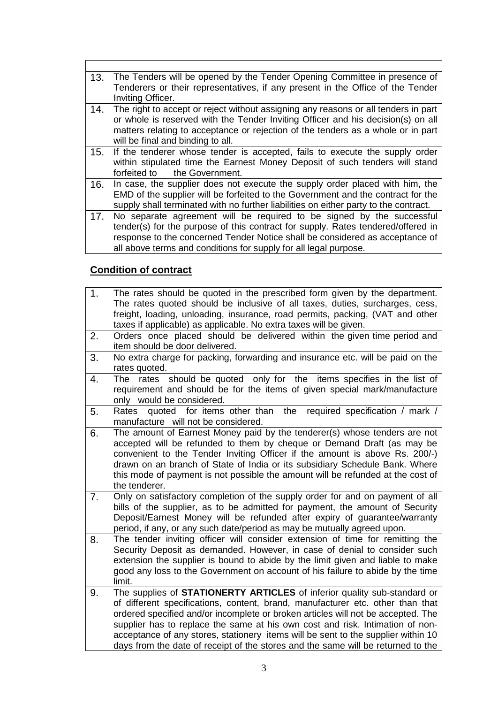| 13.1 | The Tenders will be opened by the Tender Opening Committee in presence of<br>Tenderers or their representatives, if any present in the Office of the Tender<br>Inviting Officer.                                                                                                                              |
|------|---------------------------------------------------------------------------------------------------------------------------------------------------------------------------------------------------------------------------------------------------------------------------------------------------------------|
| 14.  | The right to accept or reject without assigning any reasons or all tenders in part<br>or whole is reserved with the Tender Inviting Officer and his decision(s) on all<br>matters relating to acceptance or rejection of the tenders as a whole or in part<br>will be final and binding to all.               |
| 15.  | If the tenderer whose tender is accepted, fails to execute the supply order<br>within stipulated time the Earnest Money Deposit of such tenders will stand<br>the Government.<br>forfeited to                                                                                                                 |
| 16.  | In case, the supplier does not execute the supply order placed with him, the<br>EMD of the supplier will be forfeited to the Government and the contract for the<br>supply shall terminated with no further liabilities on either party to the contract.                                                      |
| 17.  | No separate agreement will be required to be signed by the successful<br>tender(s) for the purpose of this contract for supply. Rates tendered/offered in<br>response to the concerned Tender Notice shall be considered as acceptance of<br>all above terms and conditions for supply for all legal purpose. |

# **Condition of contract**

| 1. | The rates should be quoted in the prescribed form given by the department.<br>The rates quoted should be inclusive of all taxes, duties, surcharges, cess,<br>freight, loading, unloading, insurance, road permits, packing, (VAT and other<br>taxes if applicable) as applicable. No extra taxes will be given.                                                                                                                                                                                         |
|----|----------------------------------------------------------------------------------------------------------------------------------------------------------------------------------------------------------------------------------------------------------------------------------------------------------------------------------------------------------------------------------------------------------------------------------------------------------------------------------------------------------|
| 2. | Orders once placed should be delivered within the given time period and<br>item should be door delivered.                                                                                                                                                                                                                                                                                                                                                                                                |
| 3. | No extra charge for packing, forwarding and insurance etc. will be paid on the<br>rates quoted.                                                                                                                                                                                                                                                                                                                                                                                                          |
| 4. | The rates should be quoted only for the items specifies in the list of<br>requirement and should be for the items of given special mark/manufacture<br>only would be considered.                                                                                                                                                                                                                                                                                                                         |
| 5. | required specification / mark /<br>Rates quoted for items other than<br>the<br>manufacture will not be considered.                                                                                                                                                                                                                                                                                                                                                                                       |
| 6. | The amount of Earnest Money paid by the tenderer(s) whose tenders are not<br>accepted will be refunded to them by cheque or Demand Draft (as may be<br>convenient to the Tender Inviting Officer if the amount is above Rs. 200/-)<br>drawn on an branch of State of India or its subsidiary Schedule Bank. Where<br>this mode of payment is not possible the amount will be refunded at the cost of<br>the tenderer.                                                                                    |
| 7. | Only on satisfactory completion of the supply order for and on payment of all<br>bills of the supplier, as to be admitted for payment, the amount of Security<br>Deposit/Earnest Money will be refunded after expiry of guarantee/warranty<br>period, if any, or any such date/period as may be mutually agreed upon.                                                                                                                                                                                    |
| 8. | The tender inviting officer will consider extension of time for remitting the<br>Security Deposit as demanded. However, in case of denial to consider such<br>extension the supplier is bound to abide by the limit given and liable to make<br>good any loss to the Government on account of his failure to abide by the time<br>limit.                                                                                                                                                                 |
| 9. | The supplies of STATIONERTY ARTICLES of inferior quality sub-standard or<br>of different specifications, content, brand, manufacturer etc. other than that<br>ordered specified and/or incomplete or broken articles will not be accepted. The<br>supplier has to replace the same at his own cost and risk. Intimation of non-<br>acceptance of any stores, stationery items will be sent to the supplier within 10<br>days from the date of receipt of the stores and the same will be returned to the |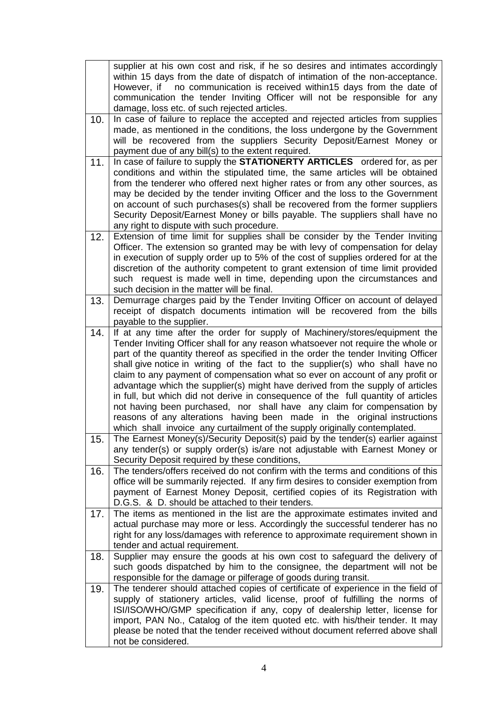|     | supplier at his own cost and risk, if he so desires and intimates accordingly<br>within 15 days from the date of dispatch of intimation of the non-acceptance.<br>However, if no communication is received within15 days from the date of<br>communication the tender Inviting Officer will not be responsible for any<br>damage, loss etc. of such rejected articles.                                                                                                                                                                                                                                                                                                                                                                                                                                                              |
|-----|-------------------------------------------------------------------------------------------------------------------------------------------------------------------------------------------------------------------------------------------------------------------------------------------------------------------------------------------------------------------------------------------------------------------------------------------------------------------------------------------------------------------------------------------------------------------------------------------------------------------------------------------------------------------------------------------------------------------------------------------------------------------------------------------------------------------------------------|
| 10. | In case of failure to replace the accepted and rejected articles from supplies<br>made, as mentioned in the conditions, the loss undergone by the Government<br>will be recovered from the suppliers Security Deposit/Earnest Money or<br>payment due of any bill(s) to the extent required.                                                                                                                                                                                                                                                                                                                                                                                                                                                                                                                                        |
| 11. | In case of failure to supply the <b>STATIONERTY ARTICLES</b> ordered for, as per<br>conditions and within the stipulated time, the same articles will be obtained<br>from the tenderer who offered next higher rates or from any other sources, as<br>may be decided by the tender inviting Officer and the loss to the Government<br>on account of such purchases(s) shall be recovered from the former suppliers<br>Security Deposit/Earnest Money or bills payable. The suppliers shall have no<br>any right to dispute with such procedure.                                                                                                                                                                                                                                                                                     |
| 12. | Extension of time limit for supplies shall be consider by the Tender Inviting<br>Officer. The extension so granted may be with levy of compensation for delay<br>in execution of supply order up to 5% of the cost of supplies ordered for at the<br>discretion of the authority competent to grant extension of time limit provided<br>such request is made well in time, depending upon the circumstances and<br>such decision in the matter will be final.                                                                                                                                                                                                                                                                                                                                                                       |
| 13. | Demurrage charges paid by the Tender Inviting Officer on account of delayed<br>receipt of dispatch documents intimation will be recovered from the bills<br>payable to the supplier.                                                                                                                                                                                                                                                                                                                                                                                                                                                                                                                                                                                                                                                |
| 14. | If at any time after the order for supply of Machinery/stores/equipment the<br>Tender Inviting Officer shall for any reason whatsoever not require the whole or<br>part of the quantity thereof as specified in the order the tender Inviting Officer<br>shall give notice in writing of the fact to the supplier(s) who shall have no<br>claim to any payment of compensation what so ever on account of any profit or<br>advantage which the supplier(s) might have derived from the supply of articles<br>in full, but which did not derive in consequence of the full quantity of articles<br>not having been purchased, nor shall have any claim for compensation by<br>reasons of any alterations having been made in the original instructions<br>which shall invoice any curtailment of the supply originally contemplated. |
| 15. | The Earnest Money(s)/Security Deposit(s) paid by the tender(s) earlier against<br>any tender(s) or supply order(s) is/are not adjustable with Earnest Money or<br>Security Deposit required by these conditions,                                                                                                                                                                                                                                                                                                                                                                                                                                                                                                                                                                                                                    |
| 16. | The tenders/offers received do not confirm with the terms and conditions of this<br>office will be summarily rejected. If any firm desires to consider exemption from<br>payment of Earnest Money Deposit, certified copies of its Registration with<br>D.G.S. & D. should be attached to their tenders.                                                                                                                                                                                                                                                                                                                                                                                                                                                                                                                            |
| 17. | The items as mentioned in the list are the approximate estimates invited and<br>actual purchase may more or less. Accordingly the successful tenderer has no<br>right for any loss/damages with reference to approximate requirement shown in<br>tender and actual requirement.                                                                                                                                                                                                                                                                                                                                                                                                                                                                                                                                                     |
| 18. | Supplier may ensure the goods at his own cost to safeguard the delivery of<br>such goods dispatched by him to the consignee, the department will not be<br>responsible for the damage or pilferage of goods during transit.                                                                                                                                                                                                                                                                                                                                                                                                                                                                                                                                                                                                         |
| 19. | The tenderer should attached copies of certificate of experience in the field of<br>supply of stationery articles, valid license, proof of fulfilling the norms of<br>ISI/ISO/WHO/GMP specification if any, copy of dealership letter, license for<br>import, PAN No., Catalog of the item quoted etc. with his/their tender. It may<br>please be noted that the tender received without document referred above shall<br>not be considered.                                                                                                                                                                                                                                                                                                                                                                                        |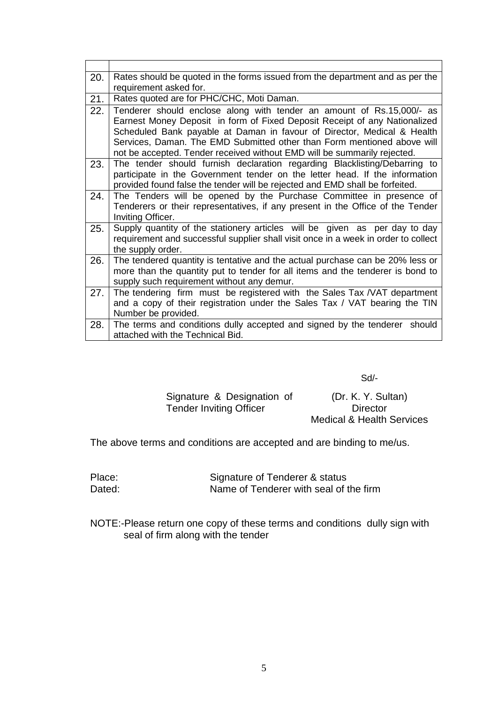| 20. | Rates should be quoted in the forms issued from the department and as per the<br>requirement asked for.                                                                                                                                                                                                                                                                               |
|-----|---------------------------------------------------------------------------------------------------------------------------------------------------------------------------------------------------------------------------------------------------------------------------------------------------------------------------------------------------------------------------------------|
| 21. | Rates quoted are for PHC/CHC, Moti Daman.                                                                                                                                                                                                                                                                                                                                             |
| 22. | Tenderer should enclose along with tender an amount of Rs.15,000/- as<br>Earnest Money Deposit in form of Fixed Deposit Receipt of any Nationalized<br>Scheduled Bank payable at Daman in favour of Director, Medical & Health<br>Services, Daman. The EMD Submitted other than Form mentioned above will<br>not be accepted. Tender received without EMD will be summarily rejected. |
| 23. | The tender should furnish declaration regarding Blacklisting/Debarring to<br>participate in the Government tender on the letter head. If the information<br>provided found false the tender will be rejected and EMD shall be forfeited.                                                                                                                                              |
| 24. | The Tenders will be opened by the Purchase Committee in presence of<br>Tenderers or their representatives, if any present in the Office of the Tender<br>Inviting Officer.                                                                                                                                                                                                            |
| 25. | Supply quantity of the stationery articles will be given as per day to day<br>requirement and successful supplier shall visit once in a week in order to collect<br>the supply order.                                                                                                                                                                                                 |
| 26. | The tendered quantity is tentative and the actual purchase can be 20% less or<br>more than the quantity put to tender for all items and the tenderer is bond to<br>supply such requirement without any demur.                                                                                                                                                                         |
| 27. | The tendering firm must be registered with the Sales Tax / VAT department<br>and a copy of their registration under the Sales Tax / VAT bearing the TIN<br>Number be provided.                                                                                                                                                                                                        |
| 28. | The terms and conditions dully accepted and signed by the tenderer should<br>attached with the Technical Bid.                                                                                                                                                                                                                                                                         |

Sd/-

Signature & Designation of Tender Inviting Officer

(Dr. K. Y. Sultan) **Director** Medical & Health Services

The above terms and conditions are accepted and are binding to me/us.

| Place: | Signature of Tenderer & status         |
|--------|----------------------------------------|
| Dated: | Name of Tenderer with seal of the firm |

NOTE:-Please return one copy of these terms and conditions dully sign with seal of firm along with the tender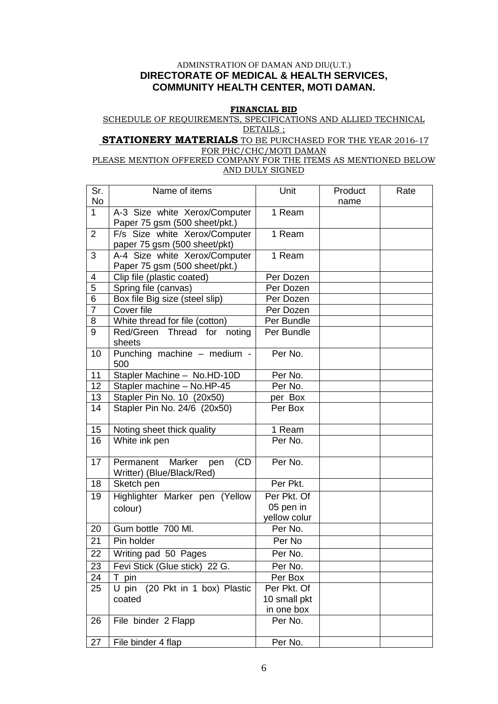### ADMINSTRATION OF DAMAN AND DIU(U.T.) **DIRECTORATE OF MEDICAL & HEALTH SERVICES, COMMUNITY HEALTH CENTER, MOTI DAMAN.**

#### **FINANCIAL BID**

## SCHEDULE OF REQUIREMENTS, SPECIFICATIONS AND ALLIED TECHNICAL DETAILS ;

#### **STATIONERY MATERIALS** TO BE PURCHASED FOR THE YEAR 2016-17 FOR PHC/CHC/MOTI DAMAN

#### PLEASE MENTION OFFERED COMPANY FOR THE ITEMS AS MENTIONED BELOW AND DULY SIGNED

| Sr.                      | Name of items                                                   | Unit                                     | Product | Rate |
|--------------------------|-----------------------------------------------------------------|------------------------------------------|---------|------|
| No                       |                                                                 |                                          | name    |      |
| $\mathbf{1}$             | A-3 Size white Xerox/Computer<br>Paper 75 gsm (500 sheet/pkt.)  | 1 Ream                                   |         |      |
| $\overline{2}$           | F/s Size white Xerox/Computer<br>paper 75 gsm (500 sheet/pkt)   | 1 Ream                                   |         |      |
| 3                        | A-4 Size white Xerox/Computer<br>Paper 75 gsm (500 sheet/pkt.)  | 1 Ream                                   |         |      |
| $\overline{\mathcal{A}}$ | Clip file (plastic coated)                                      | Per Dozen                                |         |      |
| $\overline{5}$           | Spring file (canvas)                                            | Per Dozen                                |         |      |
| $\overline{6}$           | Box file Big size (steel slip)                                  | Per Dozen                                |         |      |
| $\overline{7}$           | Cover file                                                      | Per Dozen                                |         |      |
| 8                        | White thread for file (cotton)                                  | Per Bundle                               |         |      |
| 9                        | Red/Green Thread for noting<br>sheets                           | Per Bundle                               |         |      |
| 10                       | Punching machine - medium -<br>500                              | Per No.                                  |         |      |
| 11                       | Stapler Machine - No.HD-10D                                     | Per No.                                  |         |      |
| 12                       | Stapler machine - No.HP-45                                      | Per No.                                  |         |      |
| 13                       | Stapler Pin No. 10 (20x50)                                      | per Box                                  |         |      |
| 14                       | Stapler Pin No. 24/6 (20x50)                                    | Per Box                                  |         |      |
| 15                       | Noting sheet thick quality                                      | 1 Ream                                   |         |      |
| 16                       | White ink pen                                                   | Per No.                                  |         |      |
| 17                       | Permanent<br>Marker<br>(CD)<br>pen<br>Writter) (Blue/Black/Red) | Per No.                                  |         |      |
| 18                       | Sketch pen                                                      | Per Pkt.                                 |         |      |
| 19                       | Highlighter Marker pen (Yellow<br>colour)                       | Per Pkt. Of<br>05 pen in<br>yellow colur |         |      |
| 20                       | Gum bottle 700 Ml.                                              | Per No.                                  |         |      |
| 21                       | Pin holder                                                      | Per No                                   |         |      |
| 22                       | Writing pad 50 Pages                                            | Per No.                                  |         |      |
| 23                       | Fevi Stick (Glue stick) 22 G.                                   | Per No.                                  |         |      |
| 24                       | T pin                                                           | Per Box                                  |         |      |
| 25                       | (20 Pkt in 1 box) Plastic<br>$U$ pin                            | Per Pkt. Of                              |         |      |
|                          | coated                                                          | 10 small pkt                             |         |      |
|                          |                                                                 | in one box                               |         |      |
| 26                       | File binder 2 Flapp                                             | Per No.                                  |         |      |
| 27                       | File binder 4 flap                                              | Per No.                                  |         |      |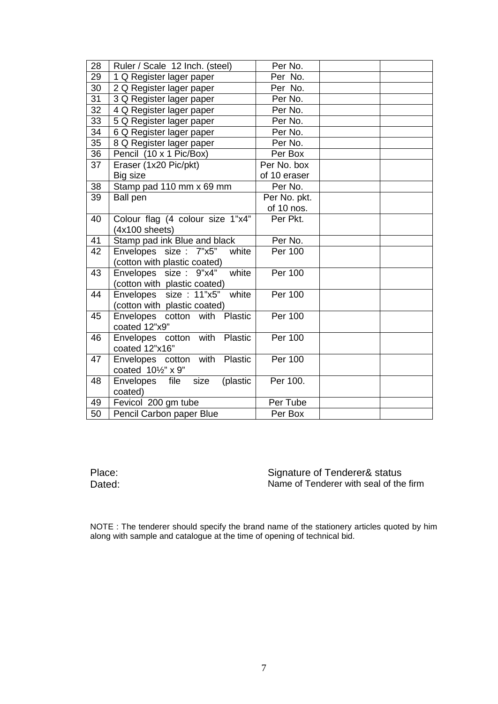| 28 | Ruler / Scale 12 Inch. (steel)     | Per No.      |  |
|----|------------------------------------|--------------|--|
| 29 | 1 Q Register lager paper           | Per No.      |  |
| 30 | 2 Q Register lager paper           | Per No.      |  |
| 31 | 3 Q Register lager paper           | Per No.      |  |
| 32 | 4 Q Register lager paper           | Per No.      |  |
| 33 | 5 Q Register lager paper           | Per No.      |  |
| 34 | 6 Q Register lager paper           | Per No.      |  |
| 35 | 8 Q Register lager paper           | Per No.      |  |
| 36 | Pencil (10 x 1 Pic/Box)            | Per Box      |  |
| 37 | Eraser (1x20 Pic/pkt)              | Per No. box  |  |
|    | Big size                           | of 10 eraser |  |
| 38 | Stamp pad 110 mm x 69 mm           | Per No.      |  |
| 39 | <b>Ball pen</b>                    | Per No. pkt. |  |
|    |                                    | of 10 nos.   |  |
| 40 | Colour flag (4 colour size 1"x4"   | Per Pkt.     |  |
|    | $(4x100$ sheets)                   |              |  |
| 41 | Stamp pad ink Blue and black       | Per No.      |  |
| 42 | Envelopes size : 7"x5"<br>white    | Per 100      |  |
|    | (cotton with plastic coated)       |              |  |
| 43 | white<br>Envelopes size : 9"x4"    | Per 100      |  |
|    | (cotton with plastic coated)       |              |  |
| 44 | Envelopes size: 11"x5"<br>white    | Per 100      |  |
|    | (cotton with plastic coated)       |              |  |
| 45 | Envelopes cotton with Plastic      | Per 100      |  |
|    | coated 12"x9"                      |              |  |
| 46 | Envelopes cotton with Plastic      | Per 100      |  |
|    | coated 12"x16"                     |              |  |
| 47 | Envelopes cotton with Plastic      | Per 100      |  |
|    | coated 101/2" x 9"                 |              |  |
| 48 | Envelopes file<br>(plastic<br>size | Per 100.     |  |
|    | coated)                            |              |  |
| 49 | Fevicol 200 gm tube                | Per Tube     |  |
| 50 | Pencil Carbon paper Blue           | Per Box      |  |

Place: Signature of Tenderer& status Dated: Dated: Name of Tenderer with seal of the firm

NOTE : The tenderer should specify the brand name of the stationery articles quoted by him along with sample and catalogue at the time of opening of technical bid.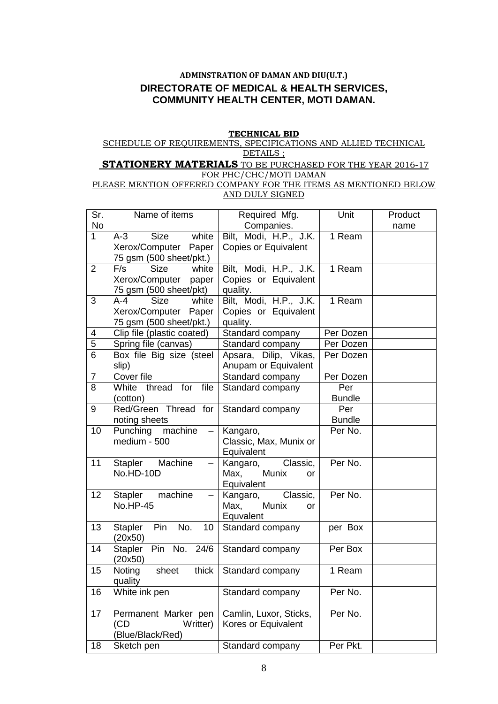## **ADMINSTRATION OF DAMAN AND DIU(U.T.) DIRECTORATE OF MEDICAL & HEALTH SERVICES, COMMUNITY HEALTH CENTER, MOTI DAMAN.**

#### **TECHNICAL BID**

#### SCHEDULE OF REQUIREMENTS, SPECIFICATIONS AND ALLIED TECHNICAL DETAILS ; **STATIONERY MATERIALS** TO BE PURCHASED FOR THE YEAR 2016-17 FOR PHC/CHC/MOTI DAMAN PLEASE MENTION OFFERED COMPANY FOR THE ITEMS AS MENTIONED BELOW AND DULY SIGNED

| Sr.            | Name of items                                             | Required Mfg.                      | Unit          | Product |
|----------------|-----------------------------------------------------------|------------------------------------|---------------|---------|
| <b>No</b>      |                                                           | Companies.                         |               | name    |
| $\mathbf{1}$   | white<br><b>Size</b><br>$A-3$                             | Bilt, Modi, H.P., J.K.             | 1 Ream        |         |
|                | Xerox/Computer<br>Paper                                   | <b>Copies or Equivalent</b>        |               |         |
|                | 75 gsm (500 sheet/pkt.)                                   |                                    |               |         |
| $\overline{2}$ | F/s<br><b>Size</b><br>white                               | Bilt, Modi, H.P., J.K.             | 1 Ream        |         |
|                | Xerox/Computer<br>paper                                   | Copies or Equivalent               |               |         |
| 3              | 75 gsm (500 sheet/pkt)<br><b>Size</b><br>white<br>$A - 4$ | quality.<br>Bilt, Modi, H.P., J.K. | 1 Ream        |         |
|                | Xerox/Computer Paper                                      | Copies or Equivalent               |               |         |
|                | 75 gsm (500 sheet/pkt.)                                   | quality.                           |               |         |
| 4              | Clip file (plastic coated)                                | Standard company                   | Per Dozen     |         |
| $\overline{5}$ | Spring file (canvas)                                      | Standard company                   | Per Dozen     |         |
| 6              | Box file Big size (steel                                  | Apsara, Dilip, Vikas,              | Per Dozen     |         |
|                | slip)                                                     | Anupam or Equivalent               |               |         |
| $\overline{7}$ | Cover file                                                | Standard company                   | Per Dozen     |         |
| $\overline{8}$ | White thread for<br>file                                  | Standard company                   | Per           |         |
|                | (cotton)                                                  |                                    | <b>Bundle</b> |         |
| 9              | Red/Green Thread for                                      | Standard company                   | Per           |         |
|                | noting sheets                                             |                                    | <b>Bundle</b> |         |
| 10             | machine<br>Punching<br>$\qquad \qquad -$<br>medium - 500  | Kangaro,<br>Classic, Max, Munix or | Per No.       |         |
|                |                                                           | Equivalent                         |               |         |
| 11             | Stapler<br>Machine                                        | Classic,<br>Kangaro,               | Per No.       |         |
|                | No.HD-10D                                                 | Max,<br>Munix<br><b>or</b>         |               |         |
|                |                                                           | Equivalent                         |               |         |
| 12             | machine<br>Stapler                                        | Classic,<br>Kangaro,               | Per No.       |         |
|                | <b>No.HP-45</b>                                           | Munix<br>Max,<br>or                |               |         |
|                |                                                           | Equvalent                          |               |         |
| 13             | <b>Stapler</b><br>No.<br>Pin<br>10                        | Standard company                   | per Box       |         |
| 14             | (20x50)<br>Stapler Pin No. 24/6                           | Standard company                   | Per Box       |         |
|                | (20x50)                                                   |                                    |               |         |
| 15             | sheet<br>thick<br>Noting                                  | Standard company                   | 1 Ream        |         |
|                | quality                                                   |                                    |               |         |
| 16             | White ink pen                                             | Standard company                   | Per No.       |         |
|                |                                                           |                                    |               |         |
| 17             | Permanent Marker pen                                      | Camlin, Luxor, Sticks,             | Per No.       |         |
|                | Writter)<br>(CD)                                          | Kores or Equivalent                |               |         |
|                | (Blue/Black/Red)                                          |                                    | Per Pkt.      |         |
| 18             | Sketch pen                                                | Standard company                   |               |         |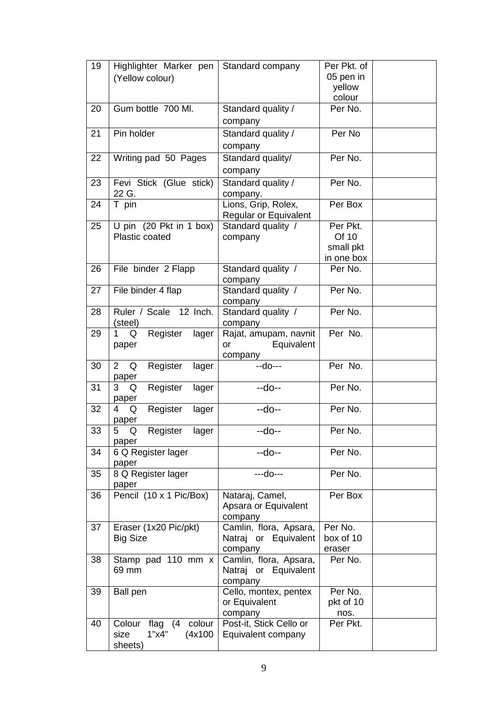| 19 | Highlighter Marker pen          | Standard company                | Per Pkt. of        |  |
|----|---------------------------------|---------------------------------|--------------------|--|
|    | (Yellow colour)                 |                                 | 05 pen in          |  |
|    |                                 |                                 | yellow             |  |
|    |                                 |                                 | colour             |  |
| 20 | Gum bottle 700 Ml.              | Standard quality /              | Per No.            |  |
|    |                                 | company                         |                    |  |
| 21 | Pin holder                      | Standard quality /              | Per No             |  |
|    |                                 | company                         |                    |  |
| 22 | Writing pad 50 Pages            | Standard quality/               | Per No.            |  |
|    |                                 | company                         |                    |  |
| 23 | Fevi Stick (Glue stick)         | Standard quality /              | Per No.            |  |
|    | 22 G.                           | company.                        |                    |  |
| 24 | T pin                           | Lions, Grip, Rolex,             | Per Box            |  |
|    |                                 | Regular or Equivalent           |                    |  |
| 25 | U pin (20 Pkt in 1 box)         | Standard quality /              | Per Pkt.           |  |
|    | Plastic coated                  | company                         | Of 10<br>small pkt |  |
|    |                                 |                                 | in one box         |  |
| 26 | File binder 2 Flapp             | Standard quality /              | Per No.            |  |
|    |                                 | company                         |                    |  |
| 27 | File binder 4 flap              | Standard quality /              | Per No.            |  |
|    |                                 | company                         |                    |  |
| 28 | Ruler / Scale<br>12 Inch.       | Standard quality /              | Per No.            |  |
|    | (steel)                         | company                         |                    |  |
| 29 | Register<br>1<br>Q<br>lager     | Rajat, amupam, navnit           | Per No.            |  |
|    | paper                           | Equivalent<br>or                |                    |  |
| 30 | 2Q<br>Register<br>lager         | company<br>$-do--$              | Per No.            |  |
|    | paper                           |                                 |                    |  |
| 31 | Register<br>Q<br>lager<br>3     | --do--                          | Per No.            |  |
|    | paper                           |                                 |                    |  |
| 32 | Register<br>lager<br>4<br>Q     | $-do-$                          | Per No.            |  |
|    | paper                           |                                 |                    |  |
| 33 | Register<br>5<br>Q<br>lager     | --do--                          | Per No.            |  |
| 34 | paper                           |                                 | Per No.            |  |
|    | 6 Q Register lager<br>paper     | --do--                          |                    |  |
| 35 | 8 Q Register lager              | $-$ -do $-$ --                  | Per No.            |  |
|    | paper                           |                                 |                    |  |
| 36 | Pencil (10 x 1 Pic/Box)         | Nataraj, Camel,                 | Per Box            |  |
|    |                                 | Apsara or Equivalent            |                    |  |
|    |                                 | company                         |                    |  |
| 37 | Eraser (1x20 Pic/pkt)           | Camlin, flora, Apsara,          | Per No.            |  |
|    | <b>Big Size</b>                 | Natraj or Equivalent            | box of 10          |  |
|    |                                 | company                         | eraser             |  |
| 38 | Stamp pad 110 mm x<br>69 mm     | Camlin, flora, Apsara,          | Per No.            |  |
|    |                                 | Natraj or Equivalent<br>company |                    |  |
| 39 | <b>Ball pen</b>                 | Cello, montex, pentex           | Per No.            |  |
|    |                                 | or Equivalent                   | pkt of 10          |  |
|    |                                 | company                         | nos.               |  |
| 40 | colour<br>Colour<br>flag<br>(4) | Post-it, Stick Cello or         | Per Pkt.           |  |
|    | 1"x4"<br>(4x100)<br>size        | Equivalent company              |                    |  |
|    | sheets)                         |                                 |                    |  |